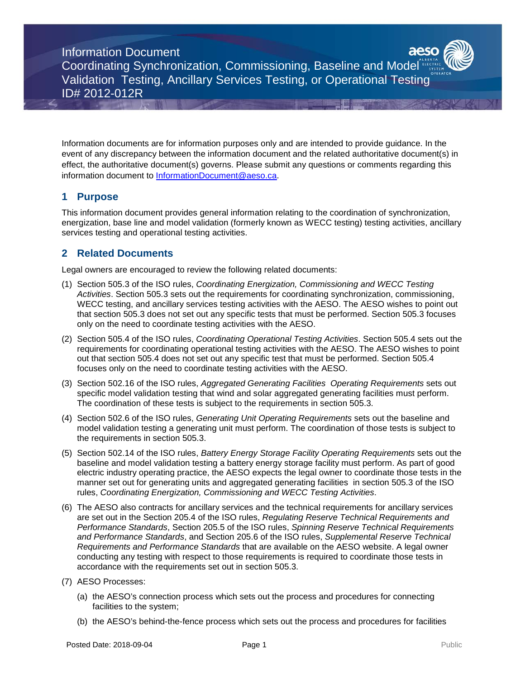Information Document

Coordinating Synchronization, Commissioning, Baseline and Model Validation Testing, Ancillary Services Testing, or Operational Testing ID# 2012-012R

Information documents are for information purposes only and are intended to provide guidance. In the event of any discrepancy between the information document and the related authoritative document(s) in effect, the authoritative document(s) governs. Please submit any questions or comments regarding this information document to [InformationDocument@aeso.ca.](mailto:InformationDocument@aeso.ca)

## **1 Purpose**

This information document provides general information relating to the coordination of synchronization, energization, base line and model validation (formerly known as WECC testing) testing activities, ancillary services testing and operational testing activities.

# **2 Related Documents**

Legal owners are encouraged to review the following related documents:

- (1) Section 505.3 of the ISO rules, *Coordinating Energization, Commissioning and WECC Testing Activities*. Section 505.3 sets out the requirements for coordinating synchronization, commissioning, WECC testing, and ancillary services testing activities with the AESO. The AESO wishes to point out that section 505.3 does not set out any specific tests that must be performed. Section 505.3 focuses only on the need to coordinate testing activities with the AESO.
- (2) Section 505.4 of the ISO rules, *Coordinating Operational Testing Activities*. Section 505.4 sets out the requirements for coordinating operational testing activities with the AESO. The AESO wishes to point out that section 505.4 does not set out any specific test that must be performed. Section 505.4 focuses only on the need to coordinate testing activities with the AESO.
- (3) Section 502.16 of the ISO rules, *Aggregated Generating Facilities Operating Requirements* sets out specific model validation testing that wind and solar aggregated generating facilities must perform. The coordination of these tests is subject to the requirements in section 505.3.
- (4) Section 502.6 of the ISO rules, *Generating Unit Operating Requirements* sets out the baseline and model validation testing a generating unit must perform. The coordination of those tests is subject to the requirements in section 505.3.
- (5) Section 502.14 of the ISO rules, *Battery Energy Storage Facility Operating Requirements* sets out the baseline and model validation testing a battery energy storage facility must perform. As part of good electric industry operating practice, the AESO expects the legal owner to coordinate those tests in the manner set out for generating units and aggregated generating facilities in section 505.3 of the ISO rules, *Coordinating Energization, Commissioning and WECC Testing Activities*.
- (6) The AESO also contracts for ancillary services and the technical requirements for ancillary services are set out in the Section 205.4 of the ISO rules, *Regulating Reserve Technical Requirements and Performance Standards*, Section 205.5 of the ISO rules, *Spinning Reserve Technical Requirements and Performance Standards*, and Section 205.6 of the ISO rules, *Supplemental Reserve Technical Requirements and Performance Standards* that are available on the AESO website. A legal owner conducting any testing with respect to those requirements is required to coordinate those tests in accordance with the requirements set out in section 505.3.
- (7) AESO Processes:
	- (a) the AESO's connection process which sets out the process and procedures for connecting facilities to the system;
	- (b) the AESO's behind-the-fence process which sets out the process and procedures for facilities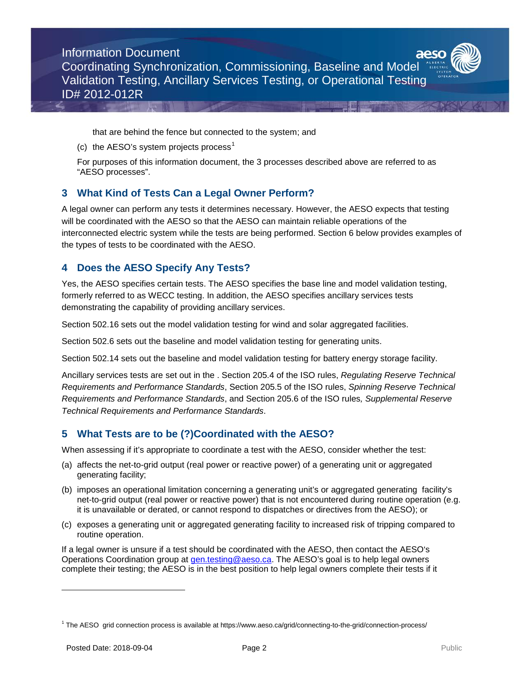Information Document Coordinating Synchronization, Commissioning, Baseline and Model Validation Testing, Ancillary Services Testing, or Operational Testing ID# 2012-012R

that are behind the fence but connected to the system; and

(c) the AESO's system projects process<sup>[1](#page-1-0)</sup>

For purposes of this information document, the 3 processes described above are referred to as "AESO processes".

# **3 What Kind of Tests Can a Legal Owner Perform?**

A legal owner can perform any tests it determines necessary. However, the AESO expects that testing will be coordinated with the AESO so that the AESO can maintain reliable operations of the interconnected electric system while the tests are being performed. Section 6 below provides examples of the types of tests to be coordinated with the AESO.

# **4 Does the AESO Specify Any Tests?**

Yes, the AESO specifies certain tests. The AESO specifies the base line and model validation testing, formerly referred to as WECC testing. In addition, the AESO specifies ancillary services tests demonstrating the capability of providing ancillary services.

Section 502.16 sets out the model validation testing for wind and solar aggregated facilities.

Section 502.6 sets out the baseline and model validation testing for generating units.

Section 502.14 sets out the baseline and model validation testing for battery energy storage facility.

Ancillary services tests are set out in the . Section 205.4 of the ISO rules, *Regulating Reserve Technical Requirements and Performance Standards*, Section 205.5 of the ISO rules, *Spinning Reserve Technical Requirements and Performance Standards*, and Section 205.6 of the ISO rules*, Supplemental Reserve Technical Requirements and Performance Standards*.

# **5 What Tests are to be (?)Coordinated with the AESO?**

When assessing if it's appropriate to coordinate a test with the AESO, consider whether the test:

- (a) affects the net-to-grid output (real power or reactive power) of a generating unit or aggregated generating facility;
- (b) imposes an operational limitation concerning a generating unit's or aggregated generating facility's net-to-grid output (real power or reactive power) that is not encountered during routine operation (e.g. it is unavailable or derated, or cannot respond to dispatches or directives from the AESO); or
- (c) exposes a generating unit or aggregated generating facility to increased risk of tripping compared to routine operation.

If a legal owner is unsure if a test should be coordinated with the AESO, then contact the AESO's Operations Coordination group at [gen.testing@aeso.ca.](mailto:gen.testing@aeso.ca) The AESO's goal is to help legal owners complete their testing; the AESO is in the best position to help legal owners complete their tests if it

j

<span id="page-1-0"></span><sup>1</sup> The AESO grid connection process is available at https://www.aeso.ca/grid/connecting-to-the-grid/connection-process/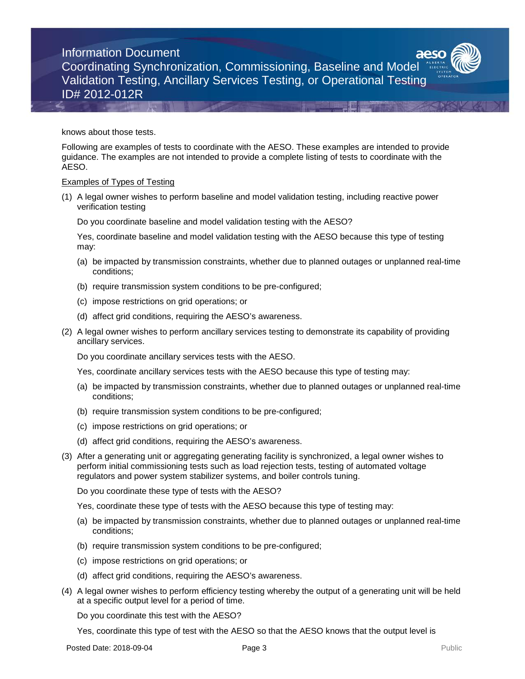# Information Document

Coordinating Synchronization, Commissioning, Baseline and Model Validation Testing, Ancillary Services Testing, or Operational Testing ID# 2012-012R

knows about those tests.

Following are examples of tests to coordinate with the AESO. These examples are intended to provide guidance. The examples are not intended to provide a complete listing of tests to coordinate with the AESO.

### Examples of Types of Testing

(1) A legal owner wishes to perform baseline and model validation testing, including reactive power verification testing

Do you coordinate baseline and model validation testing with the AESO?

Yes, coordinate baseline and model validation testing with the AESO because this type of testing may:

- (a) be impacted by transmission constraints, whether due to planned outages or unplanned real-time conditions;
- (b) require transmission system conditions to be pre-configured;
- (c) impose restrictions on grid operations; or
- (d) affect grid conditions, requiring the AESO's awareness.
- (2) A legal owner wishes to perform ancillary services testing to demonstrate its capability of providing ancillary services.

Do you coordinate ancillary services tests with the AESO.

Yes, coordinate ancillary services tests with the AESO because this type of testing may:

- (a) be impacted by transmission constraints, whether due to planned outages or unplanned real-time conditions;
- (b) require transmission system conditions to be pre-configured;
- (c) impose restrictions on grid operations; or
- (d) affect grid conditions, requiring the AESO's awareness.
- (3) After a generating unit or aggregating generating facility is synchronized, a legal owner wishes to perform initial commissioning tests such as load rejection tests, testing of automated voltage regulators and power system stabilizer systems, and boiler controls tuning.

Do you coordinate these type of tests with the AESO?

- Yes, coordinate these type of tests with the AESO because this type of testing may:
- (a) be impacted by transmission constraints, whether due to planned outages or unplanned real-time conditions;
- (b) require transmission system conditions to be pre-configured;
- (c) impose restrictions on grid operations; or
- (d) affect grid conditions, requiring the AESO's awareness.
- (4) A legal owner wishes to perform efficiency testing whereby the output of a generating unit will be held at a specific output level for a period of time.

Do you coordinate this test with the AESO?

Yes, coordinate this type of test with the AESO so that the AESO knows that the output level is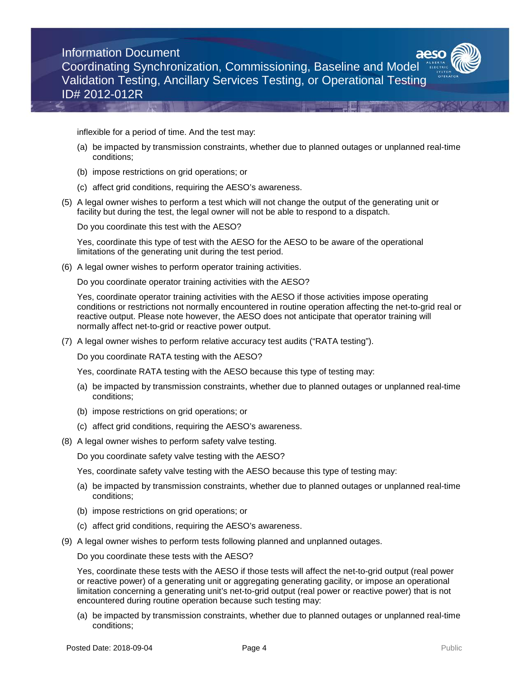Information Document

Coordinating Synchronization, Commissioning, Baseline and Model Validation Testing, Ancillary Services Testing, or Operational Testing ID# 2012-012R

inflexible for a period of time. And the test may:

- (a) be impacted by transmission constraints, whether due to planned outages or unplanned real-time conditions;
- (b) impose restrictions on grid operations; or
- (c) affect grid conditions, requiring the AESO's awareness.
- (5) A legal owner wishes to perform a test which will not change the output of the generating unit or facility but during the test, the legal owner will not be able to respond to a dispatch.

Do you coordinate this test with the AESO?

Yes, coordinate this type of test with the AESO for the AESO to be aware of the operational limitations of the generating unit during the test period.

(6) A legal owner wishes to perform operator training activities.

Do you coordinate operator training activities with the AESO?

Yes, coordinate operator training activities with the AESO if those activities impose operating conditions or restrictions not normally encountered in routine operation affecting the net-to-grid real or reactive output. Please note however, the AESO does not anticipate that operator training will normally affect net-to-grid or reactive power output.

(7) A legal owner wishes to perform relative accuracy test audits ("RATA testing").

Do you coordinate RATA testing with the AESO?

Yes, coordinate RATA testing with the AESO because this type of testing may:

- (a) be impacted by transmission constraints, whether due to planned outages or unplanned real-time conditions;
- (b) impose restrictions on grid operations; or
- (c) affect grid conditions, requiring the AESO's awareness.
- (8) A legal owner wishes to perform safety valve testing.

Do you coordinate safety valve testing with the AESO?

Yes, coordinate safety valve testing with the AESO because this type of testing may:

- (a) be impacted by transmission constraints, whether due to planned outages or unplanned real-time conditions;
- (b) impose restrictions on grid operations; or
- (c) affect grid conditions, requiring the AESO's awareness.
- (9) A legal owner wishes to perform tests following planned and unplanned outages.

Do you coordinate these tests with the AESO?

Yes, coordinate these tests with the AESO if those tests will affect the net-to-grid output (real power or reactive power) of a generating unit or aggregating generating gacility, or impose an operational limitation concerning a generating unit's net-to-grid output (real power or reactive power) that is not encountered during routine operation because such testing may:

(a) be impacted by transmission constraints, whether due to planned outages or unplanned real-time conditions;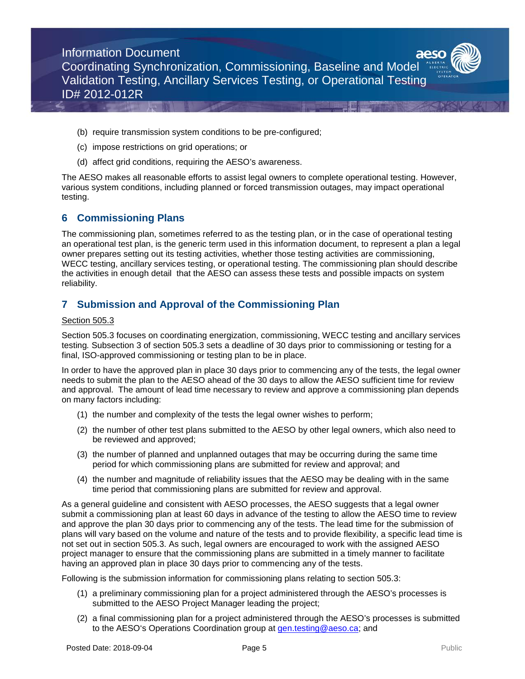Information Document Coordinating Synchronization, Commissioning, Baseline and Model Validation Testing, Ancillary Services Testing, or Operational Testing ID# 2012-012R

- (b) require transmission system conditions to be pre-configured;
- (c) impose restrictions on grid operations; or
- (d) affect grid conditions, requiring the AESO's awareness.

The AESO makes all reasonable efforts to assist legal owners to complete operational testing. However, various system conditions, including planned or forced transmission outages, may impact operational testing.

## **6 Commissioning Plans**

The commissioning plan, sometimes referred to as the testing plan, or in the case of operational testing an operational test plan, is the generic term used in this information document, to represent a plan a legal owner prepares setting out its testing activities, whether those testing activities are commissioning, WECC testing, ancillary services testing, or operational testing. The commissioning plan should describe the activities in enough detail that the AESO can assess these tests and possible impacts on system reliability.

## **7 Submission and Approval of the Commissioning Plan**

#### **Section 505.3**

Section 505.3 focuses on coordinating energization, commissioning, WECC testing and ancillary services testing*.* Subsection 3 of section 505.3 sets a deadline of 30 days prior to commissioning or testing for a final, ISO-approved commissioning or testing plan to be in place.

In order to have the approved plan in place 30 days prior to commencing any of the tests, the legal owner needs to submit the plan to the AESO ahead of the 30 days to allow the AESO sufficient time for review and approval. The amount of lead time necessary to review and approve a commissioning plan depends on many factors including:

- (1) the number and complexity of the tests the legal owner wishes to perform;
- (2) the number of other test plans submitted to the AESO by other legal owners, which also need to be reviewed and approved;
- (3) the number of planned and unplanned outages that may be occurring during the same time period for which commissioning plans are submitted for review and approval; and
- (4) the number and magnitude of reliability issues that the AESO may be dealing with in the same time period that commissioning plans are submitted for review and approval.

As a general guideline and consistent with AESO processes, the AESO suggests that a legal owner submit a commissioning plan at least 60 days in advance of the testing to allow the AESO time to review and approve the plan 30 days prior to commencing any of the tests. The lead time for the submission of plans will vary based on the volume and nature of the tests and to provide flexibility, a specific lead time is not set out in section 505.3. As such, legal owners are encouraged to work with the assigned AESO project manager to ensure that the commissioning plans are submitted in a timely manner to facilitate having an approved plan in place 30 days prior to commencing any of the tests.

Following is the submission information for commissioning plans relating to section 505.3:

- (1) a preliminary commissioning plan for a project administered through the AESO's processes is submitted to the AESO Project Manager leading the project;
- (2) a final commissioning plan for a project administered through the AESO's processes is submitted to the AESO's Operations Coordination group at [gen.testing@aeso.ca;](mailto:gen.testing@aeso.ca) and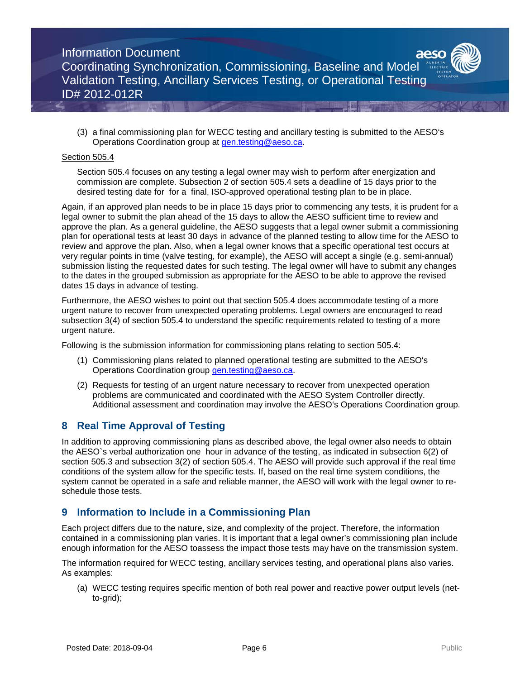Coordinating Synchronization, Commissioning, Baseline and Model Validation Testing, Ancillary Services Testing, or Operational Testing ID# 2012-012R

(3) a final commissioning plan for WECC testing and ancillary testing is submitted to the AESO's Operations Coordination group at [gen.testing@aeso.ca.](mailto:gen.testing@aeso.ca)

### Section 505.4

Section 505.4 focuses on any testing a legal owner may wish to perform after energization and commission are complete. Subsection 2 of section 505.4 sets a deadline of 15 days prior to the desired testing date for for a final, ISO-approved operational testing plan to be in place.

Again, if an approved plan needs to be in place 15 days prior to commencing any tests, it is prudent for a legal owner to submit the plan ahead of the 15 days to allow the AESO sufficient time to review and approve the plan. As a general guideline, the AESO suggests that a legal owner submit a commissioning plan for operational tests at least 30 days in advance of the planned testing to allow time for the AESO to review and approve the plan. Also, when a legal owner knows that a specific operational test occurs at very regular points in time (valve testing, for example), the AESO will accept a single (e.g. semi-annual) submission listing the requested dates for such testing. The legal owner will have to submit any changes to the dates in the grouped submission as appropriate for the AESO to be able to approve the revised dates 15 days in advance of testing.

Furthermore, the AESO wishes to point out that section 505.4 does accommodate testing of a more urgent nature to recover from unexpected operating problems. Legal owners are encouraged to read subsection 3(4) of section 505.4 to understand the specific requirements related to testing of a more urgent nature.

Following is the submission information for commissioning plans relating to section 505.4:

- (1) Commissioning plans related to planned operational testing are submitted to the AESO's Operations Coordination group gen.testing@aeso.ca.
- (2) Requests for testing of an urgent nature necessary to recover from unexpected operation problems are communicated and coordinated with the AESO System Controller directly. Additional assessment and coordination may involve the AESO's Operations Coordination group.

### **8 Real Time Approval of Testing**

In addition to approving commissioning plans as described above, the legal owner also needs to obtain the AESO`s verbal authorization one hour in advance of the testing, as indicated in subsection 6(2) of section 505.3 and subsection 3(2) of section 505.4. The AESO will provide such approval if the real time conditions of the system allow for the specific tests. If, based on the real time system conditions, the system cannot be operated in a safe and reliable manner, the AESO will work with the legal owner to reschedule those tests.

### **9 Information to Include in a Commissioning Plan**

Each project differs due to the nature, size, and complexity of the project. Therefore, the information contained in a commissioning plan varies. It is important that a legal owner's commissioning plan include enough information for the AESO toassess the impact those tests may have on the transmission system.

The information required for WECC testing, ancillary services testing, and operational plans also varies. As examples:

(a) WECC testing requires specific mention of both real power and reactive power output levels (netto-grid);